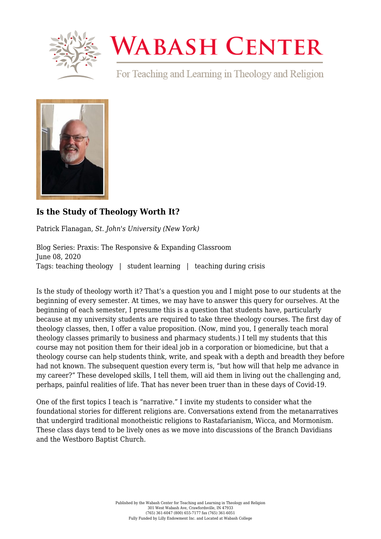

## **WABASH CENTER**

For Teaching and Learning in Theology and Religion



## **[Is the Study of Theology Worth It?](https://www.wabashcenter.wabash.edu/2020/06/is-the-study-of-theology-worth-it/)**

Patrick Flanagan, *St. John's University (New York)*

Blog Series: Praxis: The Responsive & Expanding Classroom June 08, 2020 Tags: teaching theology | student learning | teaching during crisis

Is the study of theology worth it? That's a question you and I might pose to our students at the beginning of every semester. At times, we may have to answer this query for ourselves. At the beginning of each semester, I presume this is a question that students have, particularly because at my university students are required to take three theology courses. The first day of theology classes, then, I offer a value proposition. (Now, mind you, I generally teach moral theology classes primarily to business and pharmacy students.) I tell my students that this course may not position them for their ideal job in a corporation or biomedicine, but that a theology course can help students think, write, and speak with a depth and breadth they before had not known. The subsequent question every term is, "but how will that help me advance in my career?" These developed skills, I tell them, will aid them in living out the challenging and, perhaps, painful realities of life. That has never been truer than in these days of Covid-19.

One of the first topics I teach is "narrative." I invite my students to consider what the foundational stories for different religions are. Conversations extend from the metanarratives that undergird traditional monotheistic religions to Rastafarianism, Wicca, and Mormonism. These class days tend to be lively ones as we move into discussions of the Branch Davidians and the Westboro Baptist Church.